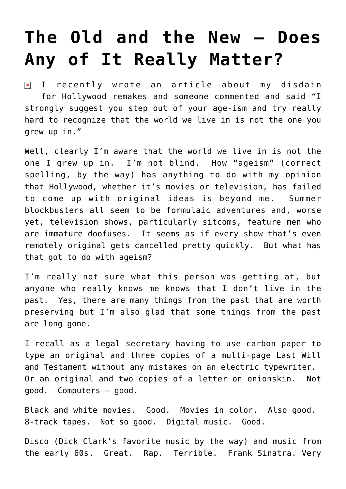## **[The Old and the New – Does](https://bernardgoldberg.com/the-old-and-the-new-%e2%80%93-does-any-of-it-really-matter/) [Any of It Really Matter?](https://bernardgoldberg.com/the-old-and-the-new-%e2%80%93-does-any-of-it-really-matter/)**

I recently wrote an [article](http://www.hdi3.wpengine.com/some-movies-should-be-untouchable/) about my disdain  $\pmb{\times}$ for Hollywood remakes and someone commented and said "I strongly suggest you step out of your age-ism and try really hard to recognize that the world we live in is not the one you grew up in."

Well, clearly I'm aware that the world we live in is not the one I grew up in. I'm not blind. How "ageism" (correct spelling, by the way) has anything to do with my opinion that Hollywood, whether it's movies or television, has failed to come up with original ideas is beyond me. Summer blockbusters all seem to be formulaic adventures and, worse yet, television shows, particularly sitcoms, feature men who are immature doofuses. It seems as if every show that's even remotely original gets cancelled pretty quickly. But what has that got to do with ageism?

I'm really not sure what this person was getting at, but anyone who really knows me knows that I don't live in the past. Yes, there are many things from the past that are worth preserving but I'm also glad that some things from the past are long gone.

I recall as a legal secretary having to use carbon paper to type an original and three copies of a multi-page Last Will and Testament without any mistakes on an electric typewriter. Or an original and two copies of a letter on onionskin. Not good. Computers – good.

Black and white movies. Good. Movies in color. Also good. 8-track tapes. Not so good. Digital music. Good.

Disco (Dick Clark's favorite music by the way) and music from the early 60s. Great. Rap. Terrible. Frank Sinatra. Very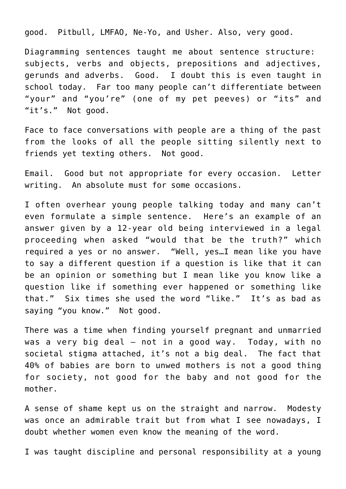good. Pitbull, LMFAO, Ne-Yo, and Usher. Also, very good.

Diagramming sentences taught me about sentence structure: subjects, verbs and objects, prepositions and adjectives, gerunds and adverbs. Good. I doubt this is even taught in school today. Far too many people can't differentiate between "your" and "you're" (one of my pet peeves) or "its" and "it's." Not good.

Face to face conversations with people are a thing of the past from the looks of all the people sitting silently next to friends yet texting others. Not good.

Email. Good but not appropriate for every occasion. Letter writing. An absolute must for some occasions.

I often overhear young people talking today and many can't even formulate a simple sentence. Here's an example of an answer given by a 12-year old being interviewed in a legal proceeding when asked "would that be the truth?" which required a yes or no answer. "Well, yes…I mean like you have to say a different question if a question is like that it can be an opinion or something but I mean like you know like a question like if something ever happened or something like that." Six times she used the word "like." It's as bad as saying "you know." Not good.

There was a time when finding yourself pregnant and unmarried was a very big deal – not in a good way. Today, with no societal stigma attached, it's not a big deal. The fact that 40% of babies are born to unwed mothers is not a good thing for society, not good for the baby and not good for the mother.

A sense of shame kept us on the straight and narrow. Modesty was once an admirable trait but from what I see nowadays, I doubt whether women even know the meaning of the word.

I was taught discipline and personal responsibility at a young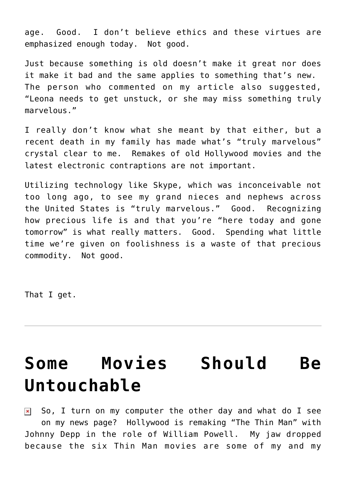age. Good. I don't believe ethics and these virtues are emphasized enough today. Not good.

Just because something is old doesn't make it great nor does it make it bad and the same applies to something that's new. The person who commented on my article also suggested, "Leona needs to get unstuck, or she may miss something truly marvelous."

I really don't know what she meant by that either, but a recent death in my family has made what's "truly marvelous" crystal clear to me. Remakes of old Hollywood movies and the latest electronic contraptions are not important.

Utilizing technology like Skype, which was inconceivable not too long ago, to see my grand nieces and nephews across the United States is "truly marvelous." Good. Recognizing how precious life is and that you're "here today and gone tomorrow" is what really matters. Good. Spending what little time we're given on foolishness is a waste of that precious commodity. Not good.

That I get.

## **[Some Movies Should Be](https://bernardgoldberg.com/some-movies-should-be-untouchable/) [Untouchable](https://bernardgoldberg.com/some-movies-should-be-untouchable/)**

So, I turn on my computer the other day and what do I see  $\pmb{\times}$ on my news page? Hollywood is remaking "The Thin Man" with Johnny Depp in the role of William Powell. My jaw dropped because the six Thin Man movies are some of my and my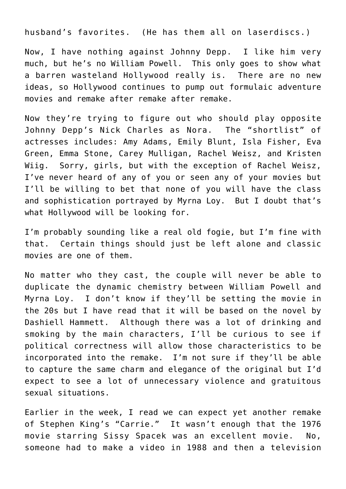husband's favorites. (He has them all on laserdiscs.)

Now, I have nothing against Johnny Depp. I like him very much, but he's no William Powell. This only goes to show what a barren wasteland Hollywood really is. There are no new ideas, so Hollywood continues to pump out formulaic adventure movies and remake after remake after remake.

Now they're trying to figure out who should play opposite Johnny Depp's Nick Charles as Nora. The "shortlist" of actresses includes: Amy Adams, Emily Blunt, Isla Fisher, Eva Green, Emma Stone, Carey Mulligan, Rachel Weisz, and Kristen Wiig. Sorry, girls, but with the exception of Rachel Weisz, I've never heard of any of you or seen any of your movies but I'll be willing to bet that none of you will have the class and sophistication portrayed by Myrna Loy. But I doubt that's what Hollywood will be looking for.

I'm probably sounding like a real old fogie, but I'm fine with that. Certain things should just be left alone and classic movies are one of them.

No matter who they cast, the couple will never be able to duplicate the dynamic chemistry between William Powell and Myrna Loy. I don't know if they'll be setting the movie in the 20s but I have read that it will be based on the novel by Dashiell Hammett. Although there was a lot of drinking and smoking by the main characters, I'll be curious to see if political correctness will allow those characteristics to be incorporated into the remake. I'm not sure if they'll be able to capture the same charm and elegance of the original but I'd expect to see a lot of unnecessary violence and gratuitous sexual situations.

Earlier in the week, I read we can expect yet another remake of Stephen King's "Carrie." It wasn't enough that the 1976 movie starring Sissy Spacek was an excellent movie. No, someone had to make a video in 1988 and then a television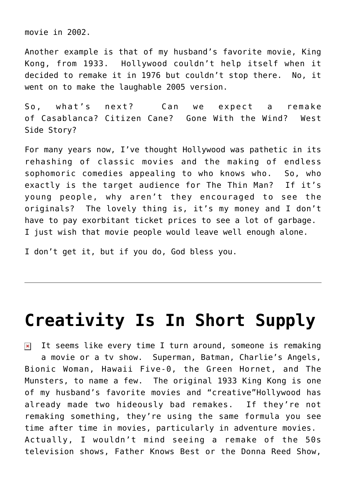movie in 2002.

Another example is that of my husband's favorite movie, King Kong, from 1933. Hollywood couldn't help itself when it decided to remake it in 1976 but couldn't stop there. No, it went on to make the laughable 2005 version.

So, what's next? Can we expect a remake of Casablanca? Citizen Cane? Gone With the Wind? West Side Story?

For many years now, I've thought Hollywood was pathetic in its rehashing of classic movies and the making of endless sophomoric comedies appealing to who knows who. So, who exactly is the target audience for The Thin Man? If it's young people, why aren't they encouraged to see the originals? The lovely thing is, it's my money and I don't have to pay exorbitant ticket prices to see a lot of garbage. I just wish that movie people would leave well enough alone.

I don't get it, but if you do, God bless you.

## **[Creativity Is In Short Supply](https://bernardgoldberg.com/creativity-is-in-short-supply/)**

It seems like every time I turn around, someone is remaking  $\pmb{\times}$ a movie or a tv show. Superman, Batman, Charlie's Angels, Bionic Woman, Hawaii Five-0, the Green Hornet, and The Munsters, to name a few. The original 1933 King Kong is one of my husband's favorite movies and "creative"Hollywood has already made two hideously bad remakes. If they're not remaking something, they're using the same formula you see time after time in movies, particularly in adventure movies. Actually, I wouldn't mind seeing a remake of the 50s television shows, Father Knows Best or the Donna Reed Show,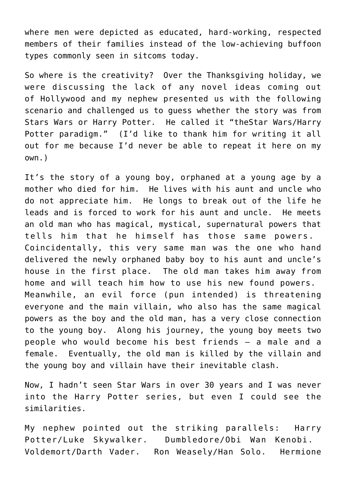where men were depicted as educated, hard-working, respected members of their families instead of the low-achieving buffoon types commonly seen in sitcoms today.

So where is the creativity? Over the Thanksgiving holiday, we were discussing the lack of any novel ideas coming out of Hollywood and my nephew presented us with the following scenario and challenged us to guess whether the story was from Stars Wars or Harry Potter. He called it "theStar Wars/Harry Potter paradigm." (I'd like to thank him for writing it all out for me because I'd never be able to repeat it here on my own.)

It's the story of a young boy, orphaned at a young age by a mother who died for him. He lives with his aunt and uncle who do not appreciate him. He longs to break out of the life he leads and is forced to work for his aunt and uncle. He meets an old man who has magical, mystical, supernatural powers that tells him that he himself has those same powers. Coincidentally, this very same man was the one who hand delivered the newly orphaned baby boy to his aunt and uncle's house in the first place. The old man takes him away from home and will teach him how to use his new found powers. Meanwhile, an evil force (pun intended) is threatening everyone and the main villain, who also has the same magical powers as the boy and the old man, has a very close connection to the young boy. Along his journey, the young boy meets two people who would become his best friends – a male and a female. Eventually, the old man is killed by the villain and the young boy and villain have their inevitable clash.

Now, I hadn't seen Star Wars in over 30 years and I was never into the Harry Potter series, but even I could see the similarities.

My nephew pointed out the striking parallels: Harry Potter/Luke Skywalker. Dumbledore/Obi Wan Kenobi. Voldemort/Darth Vader. Ron Weasely/Han Solo. Hermione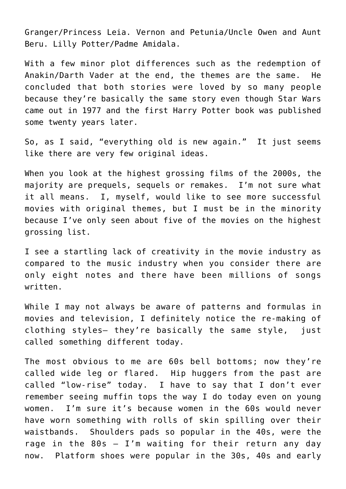Granger/Princess Leia. Vernon and Petunia/Uncle Owen and Aunt Beru. Lilly Potter/Padme Amidala.

With a few minor plot differences such as the redemption of Anakin/Darth Vader at the end, the themes are the same. He concluded that both stories were loved by so many people because they're basically the same story even though Star Wars came out in 1977 and the first Harry Potter book was published some twenty years later.

So, as I said, "everything old is new again." It just seems like there are very few original ideas.

When you look at the highest grossing [films](http://www.filmgo.net/BoxOfficePredictions/tabid/138/EntryId/289/The-Top-25-Highest-Grossing-Films-of-the-Decade-2000-2009.aspx) of the 2000s, the majority are prequels, sequels or remakes. I'm not sure what it all means. I, myself, would like to see more successful movies with original themes, but I must be in the minority because I've only seen about five of the movies on the highest grossing list.

I see a startling lack of creativity in the movie industry as compared to the music industry when you consider there are only eight notes and there have been millions of songs written.

While I may not always be aware of patterns and formulas in movies and television, I definitely notice the re-making of clothing styles– they're basically the same style, just called something different today.

The most obvious to me are 60s bell bottoms; now they're called wide leg or flared. Hip huggers from the past are called "low-rise" today. I have to say that I don't ever remember seeing muffin tops the way I do today even on young women. I'm sure it's because women in the 60s would never have worn something with rolls of skin spilling over their waistbands. Shoulders pads so popular in the 40s, were the rage in the  $80s - I'm$  waiting for their return any day now. Platform shoes were popular in the 30s, 40s and early